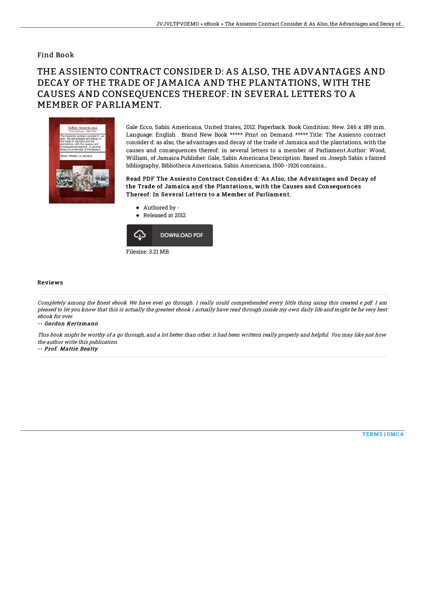## Find Book

## THE ASSIENTO CONTRACT CONSIDER D: AS ALSO, THE ADVANTAGES AND DECAY OF THE TRADE OF JAMAICA AND THE PLANTATIONS, WITH THE CAUSES AND CONSEQUENCES THEREOF: IN SEVERAL LETTERS TO A MEMBER OF PARLIAMENT.



Gale Ecco, Sabin Americana, United States, 2012. Paperback. Book Condition: New. 246 x 189 mm. Language: English . Brand New Book \*\*\*\*\* Print on Demand \*\*\*\*\*.Title: The Assiento contract consider d: as also, the advantages and decay of the trade of Jamaica and the plantations, with the causes and consequences thereof: in several letters to a member of Parliament.Author: Wood, William, of Jamaica.Publisher: Gale, Sabin Americana Description: Based on Joseph Sabin s famed bibliography, Bibliotheca Americana, Sabin Americana, 1500--1926 contains...

Read PDF The Assiento Contract Consider d: As Also, the Advantages and Decay of the Trade of Jamaica and the Plantations, with the Causes and Consequences Thereof: In Several Letters to a Member of Parliament.

- Authored by -
- Released at 2012



## Reviews

Completely among the finest ebook We have ever go through. I really could comprehended every little thing using this created e pdf. I am pleased to let you know that this is actually the greatest ebook i actually have read through inside my own daily life and might be he very best ebook for ever.

-- Gordon Kertzmann

This book might be worthy of <sup>a</sup> go through, and <sup>a</sup> lot better than other. it had been writtern really properly and helpful. You may like just how the author write this publication.

-- Prof. Mattie Beatty